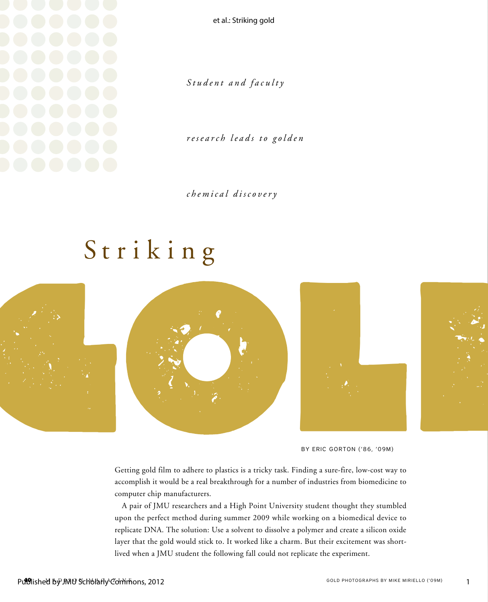

et al.: Striking gold

*Student and faculty*

*r e s e a r c h l e a d s t o g o l d e n* 

*c h e m i c a l d i s c o v e r y* 

## Striking



BY ERIC GORTON ('86, '09M)

Getting gold film to adhere to plastics is a tricky task. Finding a sure-fire, low-cost way to accomplish it would be a real breakthrough for a number of industries from biomedicine to computer chip manufacturers.

A pair of JMU researchers and a High Point University student thought they stumbled upon the perfect method during summer 2009 while working on a biomedical device to replicate DNA. The solution: Use a solvent to dissolve a polymer and create a silicon oxide layer that the gold would stick to. It worked like a charm. But their excitement was shortlived when a JMU student the following fall could not replicate the experiment.

1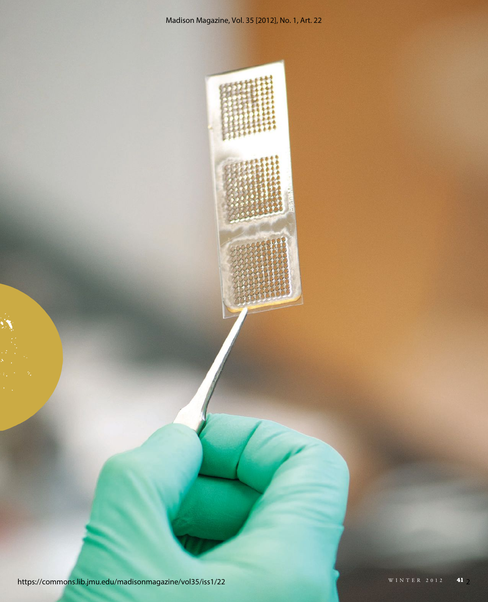

D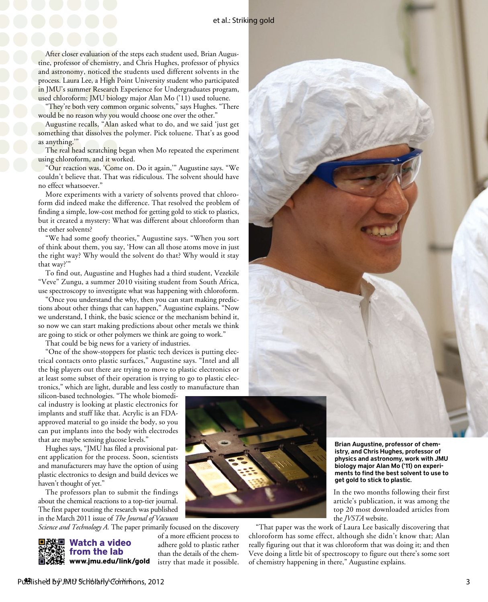## et al.: Striking gold

After closer evaluation of the steps each student used, Brian Augustine, professor of chemistry, and Chris Hughes, professor of physics and astronomy, noticed the students used different solvents in the process. Laura Lee, a High Point University student who participated in JMU's summer Research Experience for Undergraduates program, used chloroform; JMU biology major Alan Mo ('11) used toluene.

"They're both very common organic solvents," says Hughes. "There would be no reason why you would choose one over the other."

Augustine recalls, "Alan asked what to do, and we said 'just get something that dissolves the polymer. Pick toluene. That's as good as anything.'"

The real head scratching began when Mo repeated the experiment using chloroform, and it worked.

"Our reaction was, 'Come on. Do it again,'" Augustine says. "We couldn't believe that. That was ridiculous. The solvent should have no effect whatsoever."

More experiments with a variety of solvents proved that chloroform did indeed make the difference. That resolved the problem of finding a simple, low-cost method for getting gold to stick to plastics, but it created a mystery: What was different about chloroform than the other solvents?

"We had some goofy theories," Augustine says. "When you sort of think about them, you say, 'How can all those atoms move in just the right way? Why would the solvent do that? Why would it stay that way?'"

To find out, Augustine and Hughes had a third student, Vezekile "Veve" Zungu, a summer 2010 visiting student from South Africa, use spectroscopy to investigate what was happening with chloroform.

"Once you understand the why, then you can start making predictions about other things that can happen," Augustine explains. "Now we understand, I think, the basic science or the mechanism behind it, so now we can start making predictions about other metals we think are going to stick or other polymers we think are going to work."

That could be big news for a variety of industries.

"One of the show-stoppers for plastic tech devices is putting electrical contacts onto plastic surfaces," Augustine says. "Intel and all the big players out there are trying to move to plastic electronics or at least some subset of their operation is trying to go to plastic electronics," which are light, durable and less costly to manufacture than

silicon-based technologies. "The whole biomedical industry is looking at plastic electronics for implants and stuff like that. Acrylic is an FDAapproved material to go inside the body, so you can put implants into the body with electrodes that are maybe sensing glucose levels."

Hughes says, "JMU has filed a provisional patent application for the process. Soon, scientists and manufacturers may have the option of using plastic electronics to design and build devices we haven't thought of yet."

The professors plan to submit the findings about the chemical reactions to a top-tier journal. The first paper touting the research was published in the March 2011 issue of *The Journal of Vacuum Science and Technology A.* The paper primarily focused on the discovery



of a more efficient process to adhere gold to plastic rather than the details of the chemistry that made it possible.





In the two months following their first article's publication, it was among the top 20 most downloaded articles from the *JVSTA* website.

"That paper was the work of Laura Lee basically discovering that chloroform has some effect, although she didn't know that; Alan really figuring out that it was chloroform that was doing it; and then Veve doing a little bit of spectroscopy to figure out there's some sort of chemistry happening in there," Augustine explains.